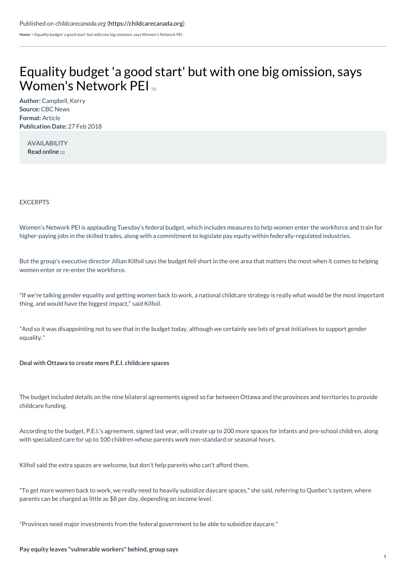[Home](https://childcarecanada.org/) > Equality budget 'a good start' but with one big omission, says Women's Network PEI

## Equality budget 'a good start' but with one big omission, says [Women's](https://childcarecanada.org/documents/child-care-news/18/03/equality-budget-good-start-one-big-omission-says-womens-network-pei) Network PEI

**Author:** Campbell, Kerry **Source:** CBC News **Format:** Article **Publication Date:** 27 Feb 2018

AVAILABILITY Read [online](https://www.cbc.ca/news/canada/prince-edward-island/pei-federal-budget-daycare-equality-1.4554805) [2]

EXCERPTS

Women's Network PEI is applauding Tuesday's federal budget, which includes measures to help women enter the workforce and train for higher-paying jobs in the skilled trades, along with a commitment to legislate pay equity within federally-regulated industries.

But the group's executive director Jillian Kilfoil says the budget fell short in the one area that matters the most when it comes to helping women enter or re-enter the workforce.

"If we're talking gender equality and getting women back to work, a national childcare strategy is really what would be the most important thing, and would have the biggest impact," said Kilfoil.

"And so it was disappointing not to see that in the budget today, although we certainly see lots of great initiatives to support gender equality."

**Deal with Ottawa to create more P.E.I. childcare spaces**

The budget included details on the nine bilateral agreements signed so far between Ottawa and the provinces and territories to provide childcare funding.

According to the budget, P.E.I.'s agreement, signed last year, will create up to 200 more spaces for infants and pre-school children, along with specialized care for up to 100 children whose parents work non-standard or seasonal hours.

Kilfoil said the extra spaces are welcome, but don't help parents who can't afford them.

"To get more women back to work, we really need to heavily subsidize daycare spaces," she said, referring to Quebec's system, where parents can be charged as little as \$8 per day, depending on income level.

"Provinces need major investments from the federal government to be able to subsidize daycare."